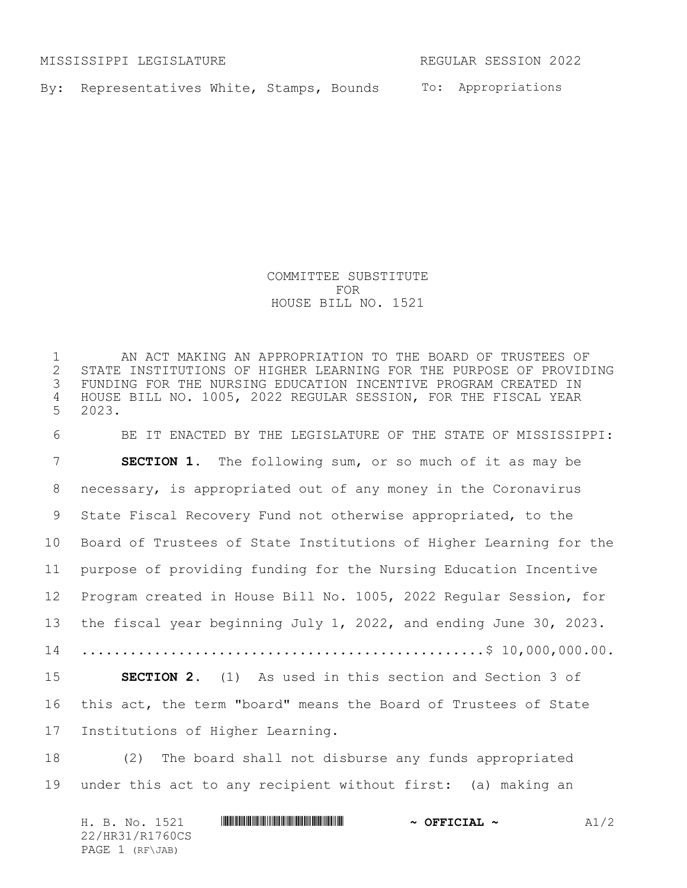MISSISSIPPI LEGISLATURE REGULAR SESSION 2022

By: Representatives White, Stamps, Bounds To: Appropriations

COMMITTEE SUBSTITUTE FOR HOUSE BILL NO. 1521

 AN ACT MAKING AN APPROPRIATION TO THE BOARD OF TRUSTEES OF 2 STATE INSTITUTIONS OF HIGHER LEARNING FOR THE PURPOSE OF PROVIDING<br>3 FUNDING FOR THE NURSING EDUCATION INCENTIVE PROGRAM CREATED IN FUNDING FOR THE NURSING EDUCATION INCENTIVE PROGRAM CREATED IN HOUSE BILL NO. 1005, 2022 REGULAR SESSION, FOR THE FISCAL YEAR 2023.

 BE IT ENACTED BY THE LEGISLATURE OF THE STATE OF MISSISSIPPI: **SECTION 1.** The following sum, or so much of it as may be necessary, is appropriated out of any money in the Coronavirus State Fiscal Recovery Fund not otherwise appropriated, to the Board of Trustees of State Institutions of Higher Learning for the purpose of providing funding for the Nursing Education Incentive Program created in House Bill No. 1005, 2022 Regular Session, for the fiscal year beginning July 1, 2022, and ending June 30, 2023. ..................................................\$ 10,000,000.00. **SECTION 2.** (1) As used in this section and Section 3 of this act, the term "board" means the Board of Trustees of State Institutions of Higher Learning.

18 (2) The board shall not disburse any funds appropriated under this act to any recipient without first: (a) making an

H. B. No. 1521 **\*\*\* And \*\*\* The \*\*\* The \*\*\* And \*\*\* And \*\*\* And \*\*\* And \*\*\* And \*\*\* And \*\*\* And \*\*\* A** 22/HR31/R1760CS PAGE 1 (RF\JAB)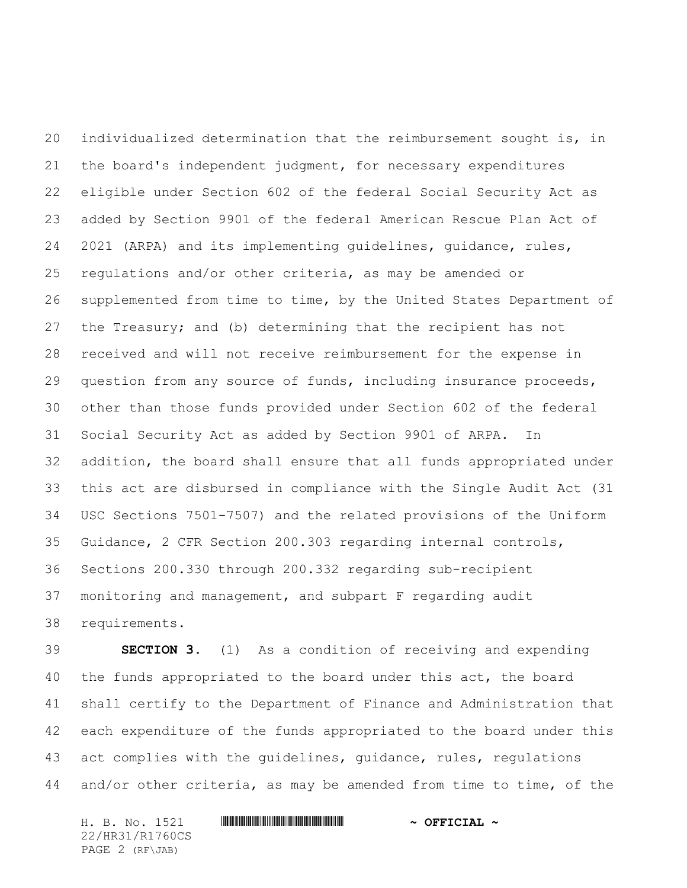individualized determination that the reimbursement sought is, in the board's independent judgment, for necessary expenditures eligible under Section 602 of the federal Social Security Act as added by Section 9901 of the federal American Rescue Plan Act of 2021 (ARPA) and its implementing guidelines, guidance, rules, regulations and/or other criteria, as may be amended or supplemented from time to time, by the United States Department of the Treasury; and (b) determining that the recipient has not received and will not receive reimbursement for the expense in question from any source of funds, including insurance proceeds, other than those funds provided under Section 602 of the federal Social Security Act as added by Section 9901 of ARPA. In addition, the board shall ensure that all funds appropriated under this act are disbursed in compliance with the Single Audit Act (31 USC Sections 7501-7507) and the related provisions of the Uniform Guidance, 2 CFR Section 200.303 regarding internal controls, Sections 200.330 through 200.332 regarding sub-recipient monitoring and management, and subpart F regarding audit requirements.

 **SECTION 3.** (1) As a condition of receiving and expending the funds appropriated to the board under this act, the board shall certify to the Department of Finance and Administration that each expenditure of the funds appropriated to the board under this act complies with the guidelines, guidance, rules, regulations and/or other criteria, as may be amended from time to time, of the

H. B. No. 1521 **. AND AND AN ADDRESS AND A STATE AND A OFFICIAL ~** 22/HR31/R1760CS PAGE 2 (RF\JAB)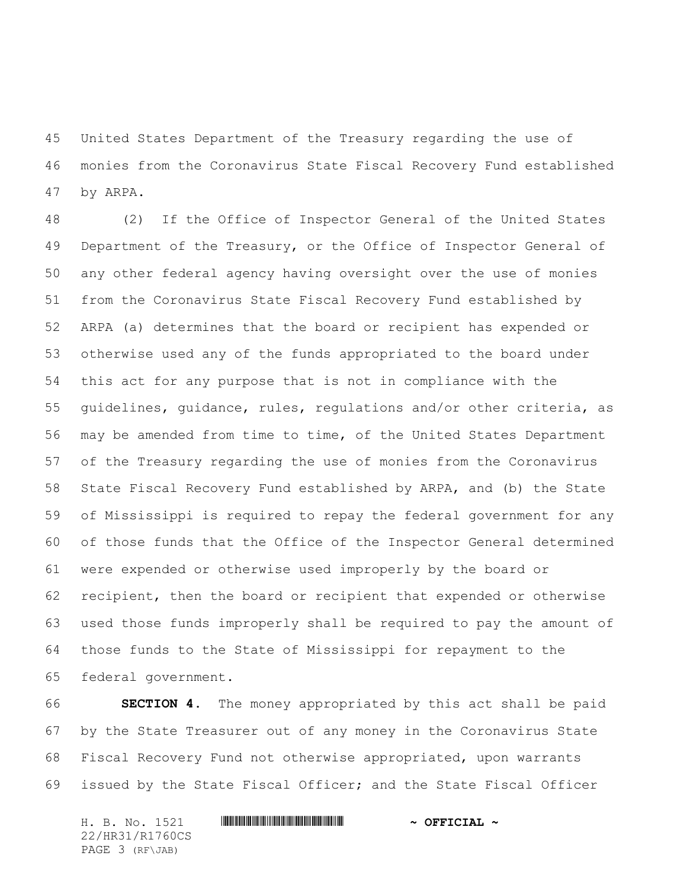United States Department of the Treasury regarding the use of monies from the Coronavirus State Fiscal Recovery Fund established by ARPA.

 (2) If the Office of Inspector General of the United States 49 Department of the Treasury, or the Office of Inspector General of any other federal agency having oversight over the use of monies from the Coronavirus State Fiscal Recovery Fund established by ARPA (a) determines that the board or recipient has expended or otherwise used any of the funds appropriated to the board under this act for any purpose that is not in compliance with the guidelines, guidance, rules, regulations and/or other criteria, as may be amended from time to time, of the United States Department of the Treasury regarding the use of monies from the Coronavirus State Fiscal Recovery Fund established by ARPA, and (b) the State of Mississippi is required to repay the federal government for any of those funds that the Office of the Inspector General determined were expended or otherwise used improperly by the board or recipient, then the board or recipient that expended or otherwise used those funds improperly shall be required to pay the amount of those funds to the State of Mississippi for repayment to the federal government.

 **SECTION 4.** The money appropriated by this act shall be paid by the State Treasurer out of any money in the Coronavirus State Fiscal Recovery Fund not otherwise appropriated, upon warrants issued by the State Fiscal Officer; and the State Fiscal Officer

H. B. No. 1521 **. AND AND AN ADDRESS AND A STATE AND A OFFICIAL ~** 22/HR31/R1760CS PAGE 3 (RF\JAB)